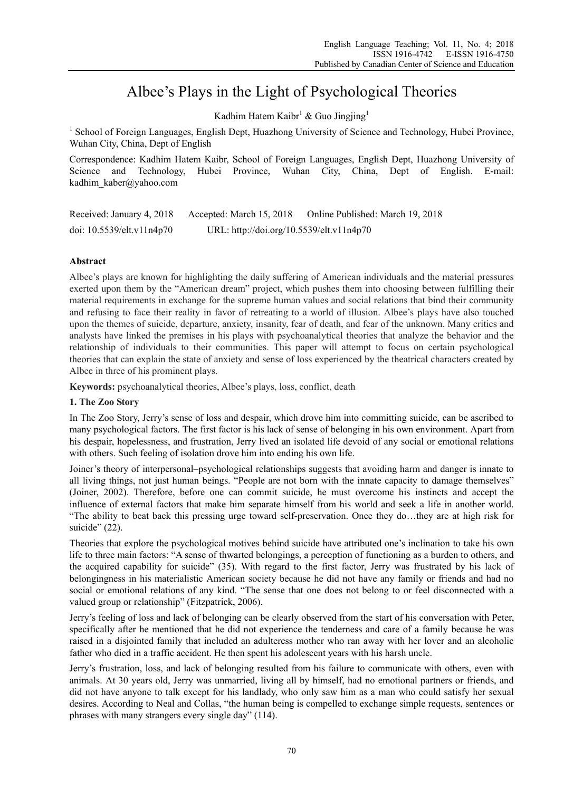# Albee's Plays in the Light of Psychological Theories

Kadhim Hatem Kaibr<sup>1</sup> & Guo Jingjing<sup>1</sup>

<sup>1</sup> School of Foreign Languages, English Dept, Huazhong University of Science and Technology, Hubei Province, Wuhan City, China, Dept of English

Correspondence: Kadhim Hatem Kaibr, School of Foreign Languages, English Dept, Huazhong University of Science and Technology, Hubei Province, Wuhan City, China, Dept of English. E-mail: kadhim\_kaber@yahoo.com

Received: January 4, 2018 Accepted: March 15, 2018 Online Published: March 19, 2018 doi: 10.5539/elt.v11n4p70 URL: http://doi.org/10.5539/elt.v11n4p70

## **Abstract**

Albee's plays are known for highlighting the daily suffering of American individuals and the material pressures exerted upon them by the "American dream" project, which pushes them into choosing between fulfilling their material requirements in exchange for the supreme human values and social relations that bind their community and refusing to face their reality in favor of retreating to a world of illusion. Albee's plays have also touched upon the themes of suicide, departure, anxiety, insanity, fear of death, and fear of the unknown. Many critics and analysts have linked the premises in his plays with psychoanalytical theories that analyze the behavior and the relationship of individuals to their communities. This paper will attempt to focus on certain psychological theories that can explain the state of anxiety and sense of loss experienced by the theatrical characters created by Albee in three of his prominent plays.

**Keywords:** psychoanalytical theories, Albee's plays, loss, conflict, death

## **1. The Zoo Story**

In The Zoo Story, Jerry's sense of loss and despair, which drove him into committing suicide, can be ascribed to many psychological factors. The first factor is his lack of sense of belonging in his own environment. Apart from his despair, hopelessness, and frustration, Jerry lived an isolated life devoid of any social or emotional relations with others. Such feeling of isolation drove him into ending his own life.

Joiner's theory of interpersonal–psychological relationships suggests that avoiding harm and danger is innate to all living things, not just human beings. "People are not born with the innate capacity to damage themselves" (Joiner, 2002). Therefore, before one can commit suicide, he must overcome his instincts and accept the influence of external factors that make him separate himself from his world and seek a life in another world. "The ability to beat back this pressing urge toward self-preservation. Once they do…they are at high risk for suicide" (22).

Theories that explore the psychological motives behind suicide have attributed one's inclination to take his own life to three main factors: "A sense of thwarted belongings, a perception of functioning as a burden to others, and the acquired capability for suicide" (35). With regard to the first factor, Jerry was frustrated by his lack of belongingness in his materialistic American society because he did not have any family or friends and had no social or emotional relations of any kind. "The sense that one does not belong to or feel disconnected with a valued group or relationship" (Fitzpatrick, 2006).

Jerry's feeling of loss and lack of belonging can be clearly observed from the start of his conversation with Peter, specifically after he mentioned that he did not experience the tenderness and care of a family because he was raised in a disjointed family that included an adulteress mother who ran away with her lover and an alcoholic father who died in a traffic accident. He then spent his adolescent years with his harsh uncle.

Jerry's frustration, loss, and lack of belonging resulted from his failure to communicate with others, even with animals. At 30 years old, Jerry was unmarried, living all by himself, had no emotional partners or friends, and did not have anyone to talk except for his landlady, who only saw him as a man who could satisfy her sexual desires. According to Neal and Collas, "the human being is compelled to exchange simple requests, sentences or phrases with many strangers every single day" (114).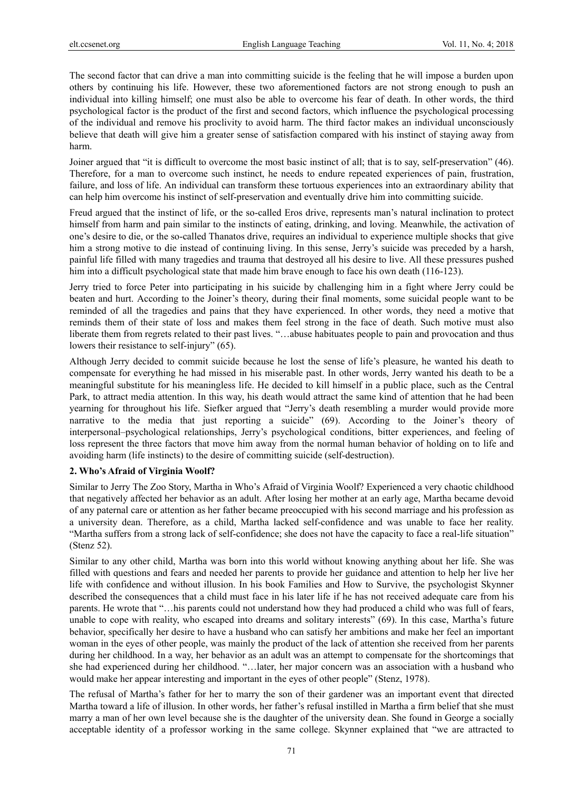The second factor that can drive a man into committing suicide is the feeling that he will impose a burden upon others by continuing his life. However, these two aforementioned factors are not strong enough to push an individual into killing himself; one must also be able to overcome his fear of death. In other words, the third psychological factor is the product of the first and second factors, which influence the psychological processing of the individual and remove his proclivity to avoid harm. The third factor makes an individual unconsciously believe that death will give him a greater sense of satisfaction compared with his instinct of staying away from harm.

Joiner argued that "it is difficult to overcome the most basic instinct of all; that is to say, self-preservation" (46). Therefore, for a man to overcome such instinct, he needs to endure repeated experiences of pain, frustration, failure, and loss of life. An individual can transform these tortuous experiences into an extraordinary ability that can help him overcome his instinct of self-preservation and eventually drive him into committing suicide.

Freud argued that the instinct of life, or the so-called Eros drive, represents man's natural inclination to protect himself from harm and pain similar to the instincts of eating, drinking, and loving. Meanwhile, the activation of one's desire to die, or the so-called Thanatos drive, requires an individual to experience multiple shocks that give him a strong motive to die instead of continuing living. In this sense, Jerry's suicide was preceded by a harsh, painful life filled with many tragedies and trauma that destroyed all his desire to live. All these pressures pushed him into a difficult psychological state that made him brave enough to face his own death (116-123).

Jerry tried to force Peter into participating in his suicide by challenging him in a fight where Jerry could be beaten and hurt. According to the Joiner's theory, during their final moments, some suicidal people want to be reminded of all the tragedies and pains that they have experienced. In other words, they need a motive that reminds them of their state of loss and makes them feel strong in the face of death. Such motive must also liberate them from regrets related to their past lives. "…abuse habituates people to pain and provocation and thus lowers their resistance to self-injury" (65).

Although Jerry decided to commit suicide because he lost the sense of life's pleasure, he wanted his death to compensate for everything he had missed in his miserable past. In other words, Jerry wanted his death to be a meaningful substitute for his meaningless life. He decided to kill himself in a public place, such as the Central Park, to attract media attention. In this way, his death would attract the same kind of attention that he had been yearning for throughout his life. Siefker argued that "Jerry's death resembling a murder would provide more narrative to the media that just reporting a suicide" (69). According to the Joiner's theory of interpersonal–psychological relationships, Jerry's psychological conditions, bitter experiences, and feeling of loss represent the three factors that move him away from the normal human behavior of holding on to life and avoiding harm (life instincts) to the desire of committing suicide (self-destruction).

## **2. Who's Afraid of Virginia Woolf?**

Similar to Jerry The Zoo Story, Martha in Who's Afraid of Virginia Woolf? Experienced a very chaotic childhood that negatively affected her behavior as an adult. After losing her mother at an early age, Martha became devoid of any paternal care or attention as her father became preoccupied with his second marriage and his profession as a university dean. Therefore, as a child, Martha lacked self-confidence and was unable to face her reality. "Martha suffers from a strong lack of self-confidence; she does not have the capacity to face a real-life situation" (Stenz 52).

Similar to any other child, Martha was born into this world without knowing anything about her life. She was filled with questions and fears and needed her parents to provide her guidance and attention to help her live her life with confidence and without illusion. In his book Families and How to Survive, the psychologist Skynner described the consequences that a child must face in his later life if he has not received adequate care from his parents. He wrote that "…his parents could not understand how they had produced a child who was full of fears, unable to cope with reality, who escaped into dreams and solitary interests" (69). In this case, Martha's future behavior, specifically her desire to have a husband who can satisfy her ambitions and make her feel an important woman in the eyes of other people, was mainly the product of the lack of attention she received from her parents during her childhood. In a way, her behavior as an adult was an attempt to compensate for the shortcomings that she had experienced during her childhood. "…later, her major concern was an association with a husband who would make her appear interesting and important in the eyes of other people" (Stenz, 1978).

The refusal of Martha's father for her to marry the son of their gardener was an important event that directed Martha toward a life of illusion. In other words, her father's refusal instilled in Martha a firm belief that she must marry a man of her own level because she is the daughter of the university dean. She found in George a socially acceptable identity of a professor working in the same college. Skynner explained that "we are attracted to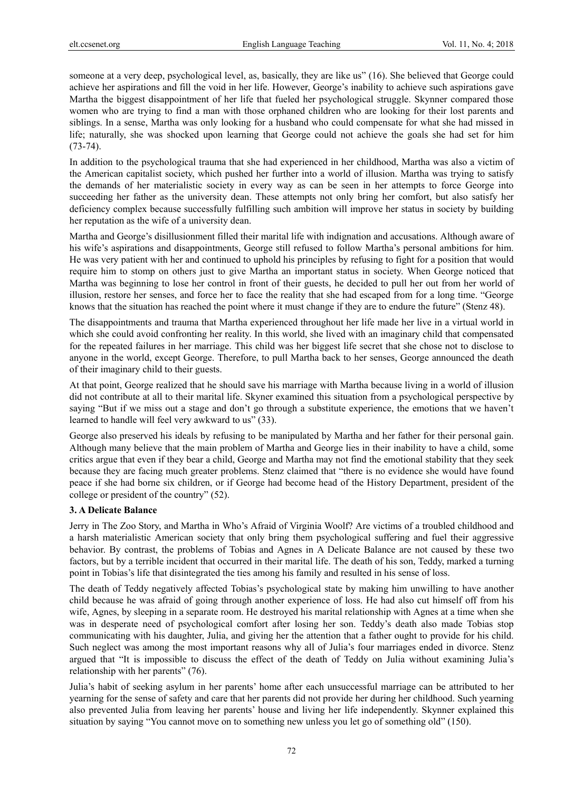someone at a very deep, psychological level, as, basically, they are like us" (16). She believed that George could achieve her aspirations and fill the void in her life. However, George's inability to achieve such aspirations gave Martha the biggest disappointment of her life that fueled her psychological struggle. Skynner compared those women who are trying to find a man with those orphaned children who are looking for their lost parents and siblings. In a sense, Martha was only looking for a husband who could compensate for what she had missed in life; naturally, she was shocked upon learning that George could not achieve the goals she had set for him  $(73-74)$ .

In addition to the psychological trauma that she had experienced in her childhood, Martha was also a victim of the American capitalist society, which pushed her further into a world of illusion. Martha was trying to satisfy the demands of her materialistic society in every way as can be seen in her attempts to force George into succeeding her father as the university dean. These attempts not only bring her comfort, but also satisfy her deficiency complex because successfully fulfilling such ambition will improve her status in society by building her reputation as the wife of a university dean.

Martha and George's disillusionment filled their marital life with indignation and accusations. Although aware of his wife's aspirations and disappointments, George still refused to follow Martha's personal ambitions for him. He was very patient with her and continued to uphold his principles by refusing to fight for a position that would require him to stomp on others just to give Martha an important status in society. When George noticed that Martha was beginning to lose her control in front of their guests, he decided to pull her out from her world of illusion, restore her senses, and force her to face the reality that she had escaped from for a long time. "George knows that the situation has reached the point where it must change if they are to endure the future" (Stenz 48).

The disappointments and trauma that Martha experienced throughout her life made her live in a virtual world in which she could avoid confronting her reality. In this world, she lived with an imaginary child that compensated for the repeated failures in her marriage. This child was her biggest life secret that she chose not to disclose to anyone in the world, except George. Therefore, to pull Martha back to her senses, George announced the death of their imaginary child to their guests.

At that point, George realized that he should save his marriage with Martha because living in a world of illusion did not contribute at all to their marital life. Skyner examined this situation from a psychological perspective by saying "But if we miss out a stage and don't go through a substitute experience, the emotions that we haven't learned to handle will feel very awkward to us" (33).

George also preserved his ideals by refusing to be manipulated by Martha and her father for their personal gain. Although many believe that the main problem of Martha and George lies in their inability to have a child, some critics argue that even if they bear a child, George and Martha may not find the emotional stability that they seek because they are facing much greater problems. Stenz claimed that "there is no evidence she would have found peace if she had borne six children, or if George had become head of the History Department, president of the college or president of the country" (52).

## **3. A Delicate Balance**

Jerry in The Zoo Story, and Martha in Who's Afraid of Virginia Woolf? Are victims of a troubled childhood and a harsh materialistic American society that only bring them psychological suffering and fuel their aggressive behavior. By contrast, the problems of Tobias and Agnes in A Delicate Balance are not caused by these two factors, but by a terrible incident that occurred in their marital life. The death of his son, Teddy, marked a turning point in Tobias's life that disintegrated the ties among his family and resulted in his sense of loss.

The death of Teddy negatively affected Tobias's psychological state by making him unwilling to have another child because he was afraid of going through another experience of loss. He had also cut himself off from his wife, Agnes, by sleeping in a separate room. He destroyed his marital relationship with Agnes at a time when she was in desperate need of psychological comfort after losing her son. Teddy's death also made Tobias stop communicating with his daughter, Julia, and giving her the attention that a father ought to provide for his child. Such neglect was among the most important reasons why all of Julia's four marriages ended in divorce. Stenz argued that "It is impossible to discuss the effect of the death of Teddy on Julia without examining Julia's relationship with her parents" (76).

Julia's habit of seeking asylum in her parents' home after each unsuccessful marriage can be attributed to her yearning for the sense of safety and care that her parents did not provide her during her childhood. Such yearning also prevented Julia from leaving her parents' house and living her life independently. Skynner explained this situation by saying "You cannot move on to something new unless you let go of something old" (150).